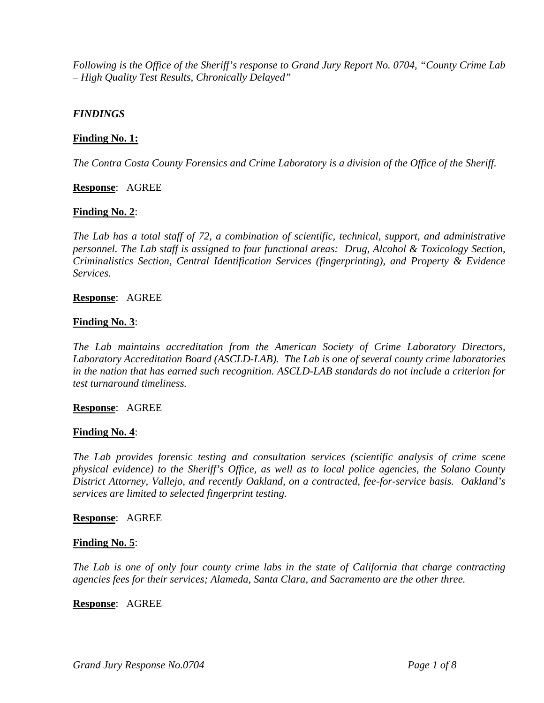*Following is the Office of the Sheriff's response to Grand Jury Report No. 0704, "County Crime Lab – High Quality Test Results, Chronically Delayed"* 

### *FINDINGS*

### **Finding No. 1:**

*The Contra Costa County Forensics and Crime Laboratory is a division of the Office of the Sheriff.* 

**Response**: AGREE

### **Finding No. 2**:

*The Lab has a total staff of 72, a combination of scientific, technical, support, and administrative personnel. The Lab staff is assigned to four functional areas: Drug, Alcohol & Toxicology Section, Criminalistics Section, Central Identification Services (fingerprinting), and Property & Evidence Services.* 

#### **Response**: AGREE

### **Finding No. 3**:

*The Lab maintains accreditation from the American Society of Crime Laboratory Directors, Laboratory Accreditation Board (ASCLD-LAB). The Lab is one of several county crime laboratories in the nation that has earned such recognition. ASCLD-LAB standards do not include a criterion for test turnaround timeliness.* 

### **Response**: AGREE

### **Finding No. 4**:

*The Lab provides forensic testing and consultation services (scientific analysis of crime scene physical evidence) to the Sheriff's Office, as well as to local police agencies, the Solano County District Attorney, Vallejo, and recently Oakland, on a contracted, fee-for-service basis. Oakland's services are limited to selected fingerprint testing.* 

### **Response**: AGREE

### **Finding No. 5**:

*The Lab is one of only four county crime labs in the state of California that charge contracting agencies fees for their services; Alameda, Santa Clara, and Sacramento are the other three.* 

#### **Response**: AGREE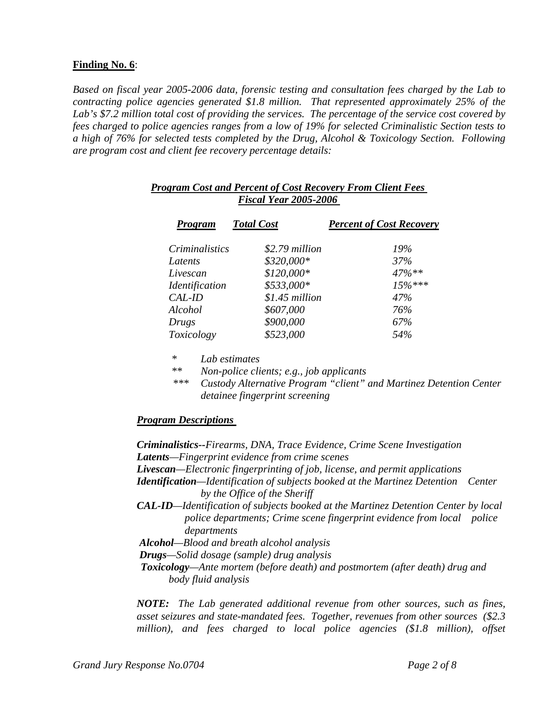# **Finding No. 6**:

*Based on fiscal year 2005-2006 data, forensic testing and consultation fees charged by the Lab to contracting police agencies generated \$1.8 million. That represented approximately 25% of the Lab's \$7.2 million total cost of providing the services. The percentage of the service cost covered by fees charged to police agencies ranges from a low of 19% for selected Criminalistic Section tests to a high of 76% for selected tests completed by the Drug, Alcohol & Toxicology Section. Following are program cost and client fee recovery percentage details:* 

| <b>Program</b>                      | <b>Total Cost</b> | <b>Percent of Cost Recovery</b> |
|-------------------------------------|-------------------|---------------------------------|
| <i>Criminalistics</i>               | \$2.79 million    | 19%                             |
| Latents                             | \$320,000*        | 37%                             |
| Livescan                            | $$120,000*$       | $47\%**$                        |
| <i><u><b>Identification</b></u></i> | \$533,000*        | $15\%***$                       |
| CAL-ID                              | $$1.45$ million   | 47%                             |
| Alcohol                             | \$607,000         | 76%                             |
| Drugs                               | \$900,000         | 67%                             |
| Toxicology                          | \$523,000         | 54%                             |

# *Program Cost and Percent of Cost Recovery From Client Fees Fiscal Year 2005-2006*

 *\* Lab estimates* 

 *\*\* Non-police clients; e.g., job applicants* 

*\*\*\* Custody Alternative Program "client" and Martinez Detention Center detainee fingerprint screening* 

# *Program Descriptions*

*Criminalistics--Firearms, DNA, Trace Evidence, Crime Scene Investigation Latents—Fingerprint evidence from crime scenes Livescan—Electronic fingerprinting of job, license, and permit applications Identification—Identification of subjects booked at the Martinez Detention Center by the Office of the Sheriff CAL-ID—Identification of subjects booked at the Martinez Detention Center by local police departments; Crime scene fingerprint evidence from local police departments Alcohol—Blood and breath alcohol analysis Drugs—Solid dosage (sample) drug analysis Toxicology—Ante mortem (before death) and postmortem (after death) drug and body fluid analysis* 

*NOTE: The Lab generated additional revenue from other sources, such as fines, asset seizures and state-mandated fees. Together, revenues from other sources (\$2.3 million), and fees charged to local police agencies (\$1.8 million), offset*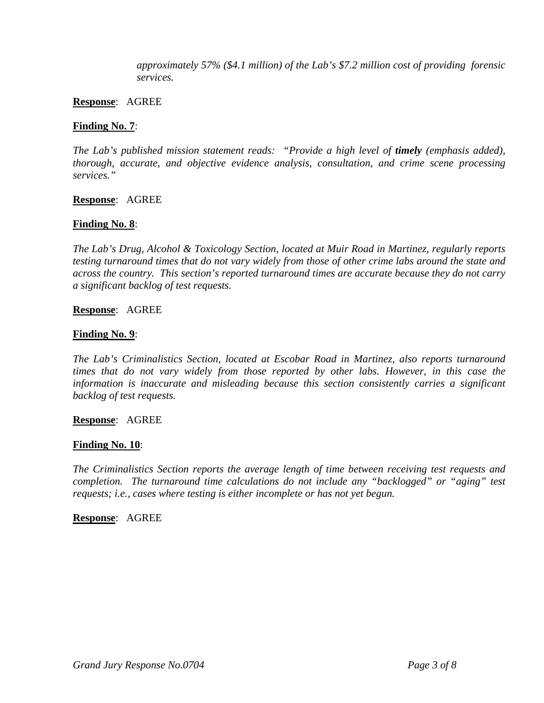*approximately 57% (\$4.1 million) of the Lab's \$7.2 million cost of providing forensic services.* 

#### **Response**: AGREE

#### **Finding No. 7**:

*The Lab's published mission statement reads:* "Provide a high level of *timely* (emphasis added), *thorough, accurate, and objective evidence analysis, consultation, and crime scene processing services."* 

#### **Response**: AGREE

### **Finding No. 8**:

*The Lab's Drug, Alcohol & Toxicology Section, located at Muir Road in Martinez, regularly reports testing turnaround times that do not vary widely from those of other crime labs around the state and across the country. This section's reported turnaround times are accurate because they do not carry a significant backlog of test requests.* 

#### **Response**: AGREE

#### **Finding No. 9**:

*The Lab's Criminalistics Section, located at Escobar Road in Martinez, also reports turnaround times that do not vary widely from those reported by other labs. However, in this case the information is inaccurate and misleading because this section consistently carries a significant backlog of test requests.* 

#### **Response**: AGREE

### **Finding No. 10**:

*The Criminalistics Section reports the average length of time between receiving test requests and completion. The turnaround time calculations do not include any "backlogged" or "aging" test requests; i.e., cases where testing is either incomplete or has not yet begun.* 

#### **Response**: AGREE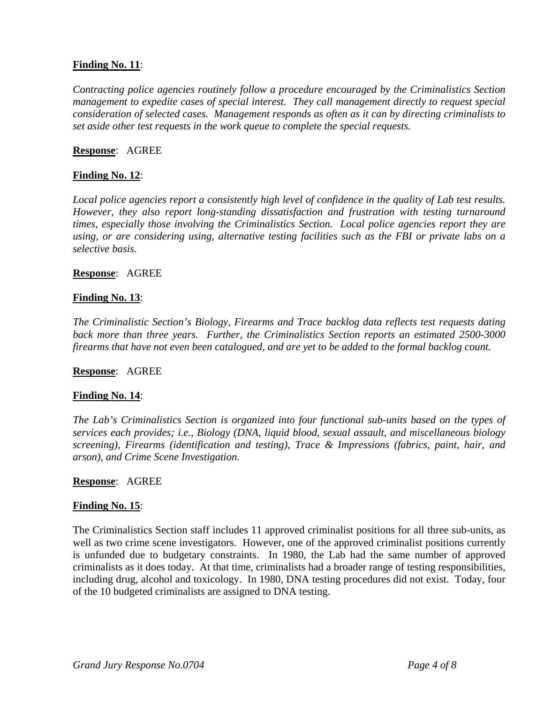# **Finding No. 11**:

*Contracting police agencies routinely follow a procedure encouraged by the Criminalistics Section management to expedite cases of special interest. They call management directly to request special consideration of selected cases. Management responds as often as it can by directing criminalists to set aside other test requests in the work queue to complete the special requests.* 

#### **Response**: AGREE

### **Finding No. 12**:

*Local police agencies report a consistently high level of confidence in the quality of Lab test results. However, they also report long-standing dissatisfaction and frustration with testing turnaround times, especially those involving the Criminalistics Section. Local police agencies report they are using, or are considering using, alternative testing facilities such as the FBI or private labs on a selective basis.* 

### **Response**: AGREE

### **Finding No. 13**:

*The Criminalistic Section's Biology, Firearms and Trace backlog data reflects test requests dating back more than three years. Further, the Criminalistics Section reports an estimated 2500-3000 firearms that have not even been catalogued, and are yet to be added to the formal backlog count.* 

#### **Response**: AGREE

### **Finding No. 14**:

*The Lab's Criminalistics Section is organized into four functional sub-units based on the types of services each provides; i.e., Biology (DNA, liquid blood, sexual assault, and miscellaneous biology screening), Firearms (identification and testing), Trace & Impressions (fabrics, paint, hair, and arson), and Crime Scene Investigation.* 

#### **Response**: AGREE

#### **Finding No. 15**:

The Criminalistics Section staff includes 11 approved criminalist positions for all three sub-units, as well as two crime scene investigators. However, one of the approved criminalist positions currently is unfunded due to budgetary constraints. In 1980, the Lab had the same number of approved criminalists as it does today. At that time, criminalists had a broader range of testing responsibilities, including drug, alcohol and toxicology. In 1980, DNA testing procedures did not exist. Today, four of the 10 budgeted criminalists are assigned to DNA testing.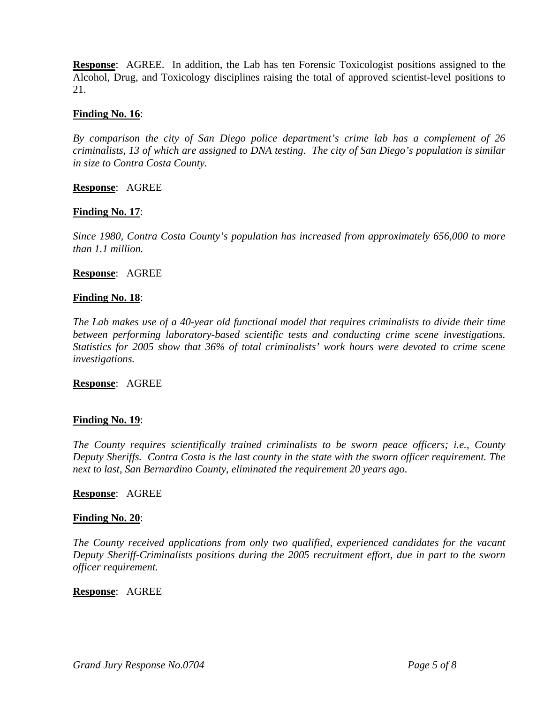**Response**: AGREE. In addition, the Lab has ten Forensic Toxicologist positions assigned to the Alcohol, Drug, and Toxicology disciplines raising the total of approved scientist-level positions to 21.

#### **Finding No. 16**:

*By comparison the city of San Diego police department's crime lab has a complement of 26 criminalists, 13 of which are assigned to DNA testing. The city of San Diego's population is similar in size to Contra Costa County.* 

**Response**: AGREE

### **Finding No. 17**:

*Since 1980, Contra Costa County's population has increased from approximately 656,000 to more than 1.1 million.* 

#### **Response**: AGREE

#### **Finding No. 18**:

*The Lab makes use of a 40-year old functional model that requires criminalists to divide their time between performing laboratory-based scientific tests and conducting crime scene investigations. Statistics for 2005 show that 36% of total criminalists' work hours were devoted to crime scene investigations.* 

**Response**: AGREE

### **Finding No. 19**:

*The County requires scientifically trained criminalists to be sworn peace officers; i.e., County Deputy Sheriffs. Contra Costa is the last county in the state with the sworn officer requirement. The next to last, San Bernardino County, eliminated the requirement 20 years ago.* 

#### **Response**: AGREE

#### **Finding No. 20**:

*The County received applications from only two qualified, experienced candidates for the vacant Deputy Sheriff-Criminalists positions during the 2005 recruitment effort, due in part to the sworn officer requirement.* 

#### **Response**: AGREE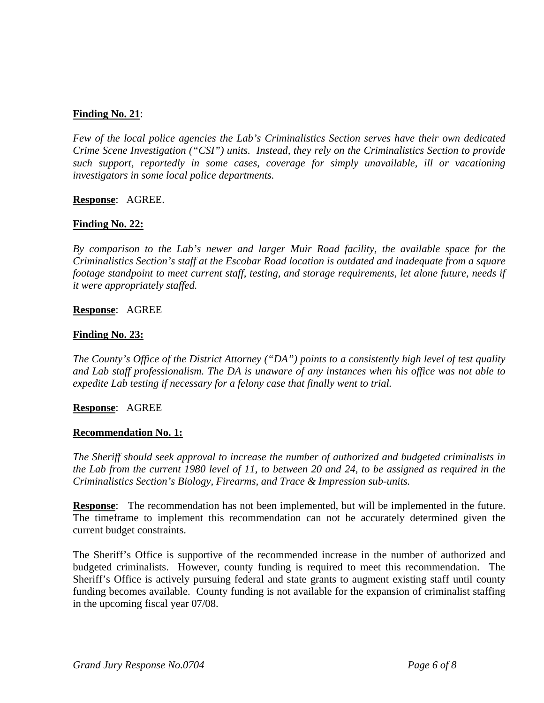# **Finding No. 21**:

*Few of the local police agencies the Lab's Criminalistics Section serves have their own dedicated Crime Scene Investigation ("CSI") units. Instead, they rely on the Criminalistics Section to provide such support, reportedly in some cases, coverage for simply unavailable, ill or vacationing investigators in some local police departments.* 

### **Response**: AGREE.

### **Finding No. 22:**

*By comparison to the Lab's newer and larger Muir Road facility, the available space for the Criminalistics Section's staff at the Escobar Road location is outdated and inadequate from a square footage standpoint to meet current staff, testing, and storage requirements, let alone future, needs if it were appropriately staffed.* 

#### **Response**: AGREE

#### **Finding No. 23:**

*The County's Office of the District Attorney ("DA") points to a consistently high level of test quality and Lab staff professionalism. The DA is unaware of any instances when his office was not able to expedite Lab testing if necessary for a felony case that finally went to trial.* 

### **Response**: AGREE

#### **Recommendation No. 1:**

*The Sheriff should seek approval to increase the number of authorized and budgeted criminalists in the Lab from the current 1980 level of 11, to between 20 and 24, to be assigned as required in the Criminalistics Section's Biology, Firearms, and Trace & Impression sub-units.* 

**Response:** The recommendation has not been implemented, but will be implemented in the future. The timeframe to implement this recommendation can not be accurately determined given the current budget constraints.

The Sheriff's Office is supportive of the recommended increase in the number of authorized and budgeted criminalists. However, county funding is required to meet this recommendation. The Sheriff's Office is actively pursuing federal and state grants to augment existing staff until county funding becomes available. County funding is not available for the expansion of criminalist staffing in the upcoming fiscal year 07/08.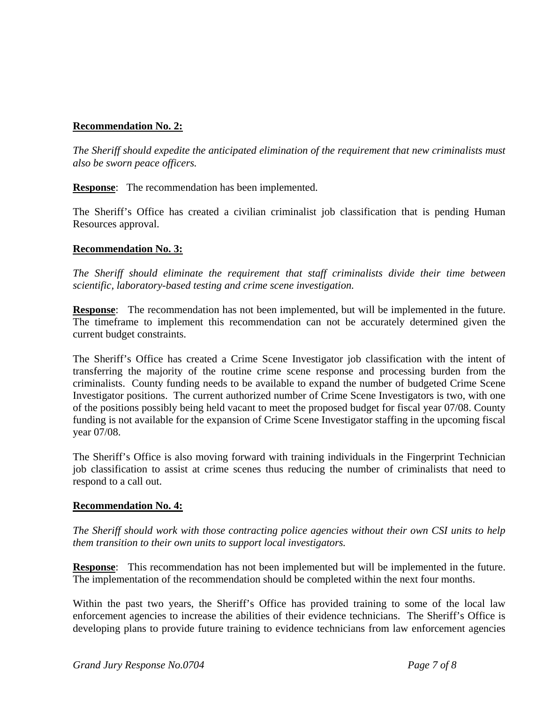# **Recommendation No. 2:**

*The Sheriff should expedite the anticipated elimination of the requirement that new criminalists must also be sworn peace officers.* 

**Response**: The recommendation has been implemented.

The Sheriff's Office has created a civilian criminalist job classification that is pending Human Resources approval.

# **Recommendation No. 3:**

*The Sheriff should eliminate the requirement that staff criminalists divide their time between scientific, laboratory-based testing and crime scene investigation.* 

**Response**: The recommendation has not been implemented, but will be implemented in the future. The timeframe to implement this recommendation can not be accurately determined given the current budget constraints.

The Sheriff's Office has created a Crime Scene Investigator job classification with the intent of transferring the majority of the routine crime scene response and processing burden from the criminalists. County funding needs to be available to expand the number of budgeted Crime Scene Investigator positions. The current authorized number of Crime Scene Investigators is two, with one of the positions possibly being held vacant to meet the proposed budget for fiscal year 07/08. County funding is not available for the expansion of Crime Scene Investigator staffing in the upcoming fiscal year 07/08.

The Sheriff's Office is also moving forward with training individuals in the Fingerprint Technician job classification to assist at crime scenes thus reducing the number of criminalists that need to respond to a call out.

### **Recommendation No. 4:**

*The Sheriff should work with those contracting police agencies without their own CSI units to help them transition to their own units to support local investigators.* 

**Response**: This recommendation has not been implemented but will be implemented in the future. The implementation of the recommendation should be completed within the next four months.

Within the past two years, the Sheriff's Office has provided training to some of the local law enforcement agencies to increase the abilities of their evidence technicians. The Sheriff's Office is developing plans to provide future training to evidence technicians from law enforcement agencies